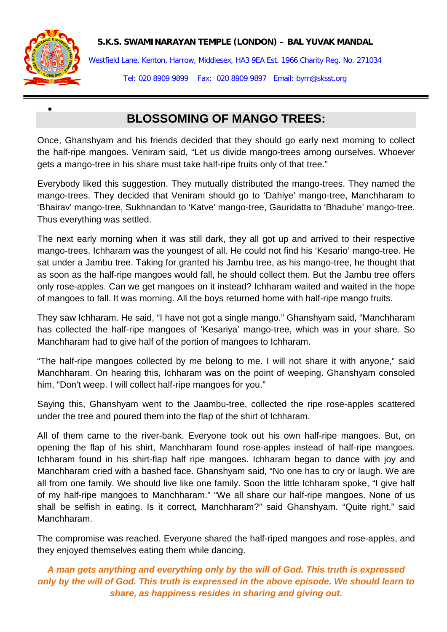## **S.K.S. SWAMINARAYAN TEMPLE (LONDON) – BAL YUVAK MANDAL**



•

Westfield Lane, Kenton, Harrow, Middlesex, HA3 9EA Est. 1966 Charity Reg. No. 271034 Tel: 020 8909 9899 Fax: 020 8909 9897 Email: bym@sksst.org

## **BLOSSOMING OF MANGO TREES:**

Once, Ghanshyam and his friends decided that they should go early next morning to collect the half-ripe mangoes. Veniram said, "Let us divide mango-trees among ourselves. Whoever gets a mango-tree in his share must take half-ripe fruits only of that tree."

Everybody liked this suggestion. They mutually distributed the mango-trees. They named the mango-trees. They decided that Veniram should go to 'Dahiye' mango-tree, Manchharam to 'Bhairav' mango-tree, Sukhnandan to 'Katve' mango-tree, Gauridatta to 'Bhaduhe' mango-tree. Thus everything was settled.

The next early morning when it was still dark, they all got up and arrived to their respective mango-trees. Ichharam was the youngest of all. He could not find his 'Kesario' mango-tree. He sat under a Jambu tree. Taking for granted his Jambu tree, as his mango-tree, he thought that as soon as the half-ripe mangoes would fall, he should collect them. But the Jambu tree offers only rose-apples. Can we get mangoes on it instead? Ichharam waited and waited in the hope of mangoes to fall. It was morning. All the boys returned home with half-ripe mango fruits.

They saw Ichharam. He said, "I have not got a single mango." Ghanshyam said, "Manchharam has collected the half-ripe mangoes of 'Kesariya' mango-tree, which was in your share. So Manchharam had to give half of the portion of mangoes to Ichharam.

"The half-ripe mangoes collected by me belong to me. I will not share it with anyone," said Manchharam. On hearing this, Ichharam was on the point of weeping. Ghanshyam consoled him, "Don't weep. I will collect half-ripe mangoes for you."

Saying this, Ghanshyam went to the Jaambu-tree, collected the ripe rose-apples scattered under the tree and poured them into the flap of the shirt of Ichharam.

All of them came to the river-bank. Everyone took out his own half-ripe mangoes. But, on opening the flap of his shirt, Manchharam found rose-apples instead of half-ripe mangoes. Ichharam found in his shirt-flap half ripe mangoes. Ichharam began to dance with joy and Manchharam cried with a bashed face. Ghanshyam said, "No one has to cry or laugh. We are all from one family. We should live like one family. Soon the little Ichharam spoke, "I give half of my half-ripe mangoes to Manchharam." "We all share our half-ripe mangoes. None of us shall be selfish in eating. Is it correct, Manchharam?" said Ghanshyam. "Quite right," said Manchharam.

The compromise was reached. Everyone shared the half-riped mangoes and rose-apples, and they enjoyed themselves eating them while dancing.

*A man gets anything and everything only by the will of God. This truth is expressed only by the will of God. This truth is expressed in the above episode. We should learn to share, as happiness resides in sharing and giving out.*